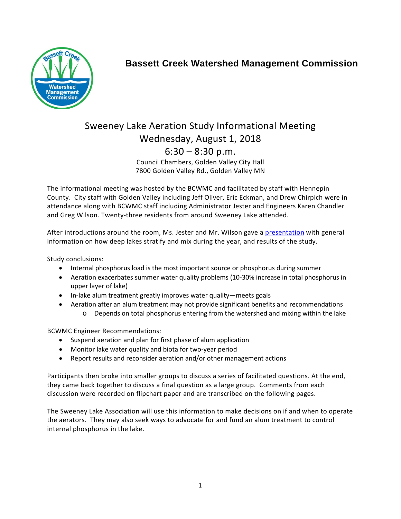

## **Bassett Creek Watershed Management Commission**

## Sweeney Lake Aeration Study Informational Meeting Wednesday, August 1, 2018  $6:30 - 8:30$  p.m. Council Chambers, Golden Valley City Hall 7800 Golden Valley Rd., Golden Valley MN

The informational meeting was hosted by the BCWMC and facilitated by staff with Hennepin County. City staff with Golden Valley including Jeff Oliver, Eric Eckman, and Drew Chirpich were in attendance along with BCWMC staff including Administrator Jester and Engineers Karen Chandler and Greg Wilson. Twenty-three residents from around Sweeney Lake attended.

After introductions around the room, Ms. Jester and Mr. Wilson gave a [presentation](http://www.bassettcreekwmo.org/application/files/5015/3322/7219/Sweeney_Lake_Aeration_Study_Informational_Meeting_Presentation_072718_final.pdf) with general information on how deep lakes stratify and mix during the year, and results of the study.

Study conclusions:

- Internal phosphorus load is the most important source or phosphorus during summer
- Aeration exacerbates summer water quality problems (10-30% increase in total phosphorus in upper layer of lake)
- In-lake alum treatment greatly improves water quality—meets goals
- Aeration after an alum treatment may not provide significant benefits and recommendations
	- o Depends on total phosphorus entering from the watershed and mixing within the lake

BCWMC Engineer Recommendations:

- Suspend aeration and plan for first phase of alum application
- Monitor lake water quality and biota for two-year period
- Report results and reconsider aeration and/or other management actions

Participants then broke into smaller groups to discuss a series of facilitated questions. At the end, they came back together to discuss a final question as a large group. Comments from each discussion were recorded on flipchart paper and are transcribed on the following pages.

The Sweeney Lake Association will use this information to make decisions on if and when to operate the aerators. They may also seek ways to advocate for and fund an alum treatment to control internal phosphorus in the lake.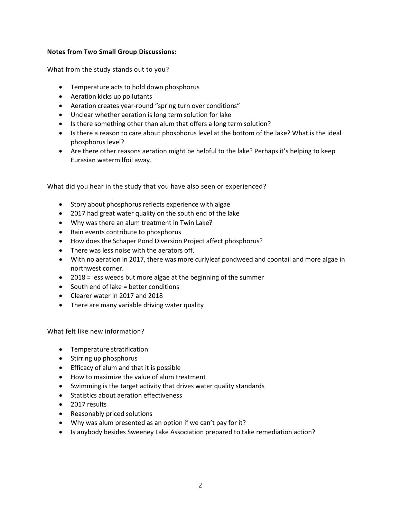## **Notes from Two Small Group Discussions:**

What from the study stands out to you?

- Temperature acts to hold down phosphorus
- Aeration kicks up pollutants
- Aeration creates year-round "spring turn over conditions"
- Unclear whether aeration is long term solution for lake
- Is there something other than alum that offers a long term solution?
- Is there a reason to care about phosphorus level at the bottom of the lake? What is the ideal phosphorus level?
- Are there other reasons aeration might be helpful to the lake? Perhaps it's helping to keep Eurasian watermilfoil away.

What did you hear in the study that you have also seen or experienced?

- Story about phosphorus reflects experience with algae
- 2017 had great water quality on the south end of the lake
- Why was there an alum treatment in Twin Lake?
- Rain events contribute to phosphorus
- How does the Schaper Pond Diversion Project affect phosphorus?
- There was less noise with the aerators off.
- With no aeration in 2017, there was more curlyleaf pondweed and coontail and more algae in northwest corner.
- 2018 = less weeds but more algae at the beginning of the summer
- South end of lake = better conditions
- Clearer water in 2017 and 2018
- There are many variable driving water quality

What felt like new information?

- Temperature stratification
- Stirring up phosphorus
- Efficacy of alum and that it is possible
- How to maximize the value of alum treatment
- Swimming is the target activity that drives water quality standards
- Statistics about aeration effectiveness
- 2017 results
- Reasonably priced solutions
- Why was alum presented as an option if we can't pay for it?
- Is anybody besides Sweeney Lake Association prepared to take remediation action?